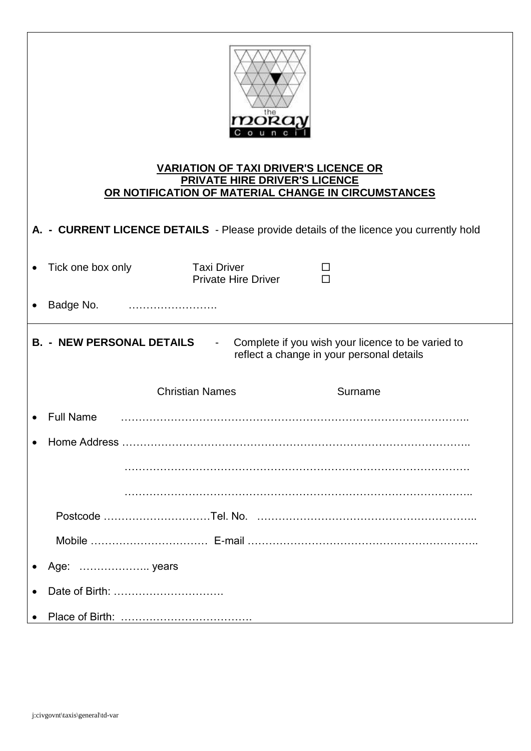| the<br>mokay<br>ounc<br><b>VARIATION OF TAXI DRIVER'S LICENCE OR</b><br><b>PRIVATE HIRE DRIVER'S LICENCE</b><br>OR NOTIFICATION OF MATERIAL CHANGE IN CIRCUMSTANCES |                   |                                                  |         |  |
|---------------------------------------------------------------------------------------------------------------------------------------------------------------------|-------------------|--------------------------------------------------|---------|--|
| A. - CURRENT LICENCE DETAILS - Please provide details of the licence you currently hold                                                                             |                   |                                                  |         |  |
|                                                                                                                                                                     | Tick one box only | <b>Taxi Driver</b><br><b>Private Hire Driver</b> | ப<br>П  |  |
|                                                                                                                                                                     | Badge No.         |                                                  |         |  |
| <b>B. - NEW PERSONAL DETAILS</b><br>Complete if you wish your licence to be varied to<br>$\blacksquare$<br>reflect a change in your personal details                |                   |                                                  |         |  |
|                                                                                                                                                                     |                   | <b>Christian Names</b>                           | Surname |  |
|                                                                                                                                                                     | <b>Full Name</b>  |                                                  |         |  |
|                                                                                                                                                                     |                   |                                                  |         |  |
|                                                                                                                                                                     |                   |                                                  |         |  |
|                                                                                                                                                                     |                   |                                                  |         |  |
|                                                                                                                                                                     |                   |                                                  |         |  |
|                                                                                                                                                                     |                   |                                                  |         |  |
|                                                                                                                                                                     |                   |                                                  |         |  |
|                                                                                                                                                                     |                   |                                                  |         |  |
|                                                                                                                                                                     |                   |                                                  |         |  |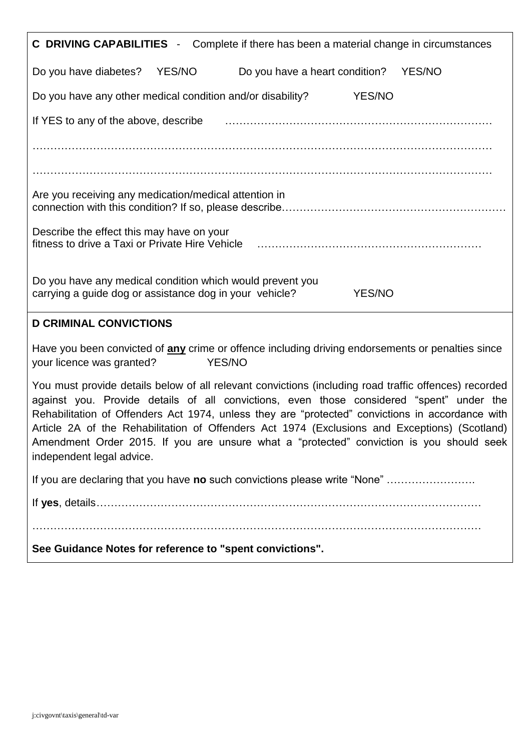| <b>C DRIVING CAPABILITIES</b> - Complete if there has been a material change in circumstances                                                                                                                                                                                                                                                                                                                                                                                                                                   |  |  |  |  |
|---------------------------------------------------------------------------------------------------------------------------------------------------------------------------------------------------------------------------------------------------------------------------------------------------------------------------------------------------------------------------------------------------------------------------------------------------------------------------------------------------------------------------------|--|--|--|--|
| Do you have diabetes?<br>YES/NO<br>Do you have a heart condition?<br><b>YES/NO</b>                                                                                                                                                                                                                                                                                                                                                                                                                                              |  |  |  |  |
| Do you have any other medical condition and/or disability?<br>YES/NO                                                                                                                                                                                                                                                                                                                                                                                                                                                            |  |  |  |  |
| If YES to any of the above, describe                                                                                                                                                                                                                                                                                                                                                                                                                                                                                            |  |  |  |  |
|                                                                                                                                                                                                                                                                                                                                                                                                                                                                                                                                 |  |  |  |  |
|                                                                                                                                                                                                                                                                                                                                                                                                                                                                                                                                 |  |  |  |  |
| Are you receiving any medication/medical attention in                                                                                                                                                                                                                                                                                                                                                                                                                                                                           |  |  |  |  |
| Describe the effect this may have on your<br>fitness to drive a Taxi or Private Hire Vehicle                                                                                                                                                                                                                                                                                                                                                                                                                                    |  |  |  |  |
| Do you have any medical condition which would prevent you<br>carrying a guide dog or assistance dog in your vehicle?<br><b>YES/NO</b>                                                                                                                                                                                                                                                                                                                                                                                           |  |  |  |  |
|                                                                                                                                                                                                                                                                                                                                                                                                                                                                                                                                 |  |  |  |  |
| <b>D CRIMINAL CONVICTIONS</b>                                                                                                                                                                                                                                                                                                                                                                                                                                                                                                   |  |  |  |  |
| Have you been convicted of any crime or offence including driving endorsements or penalties since<br>YES/NO<br>your licence was granted?                                                                                                                                                                                                                                                                                                                                                                                        |  |  |  |  |
| You must provide details below of all relevant convictions (including road traffic offences) recorded<br>against you. Provide details of all convictions, even those considered "spent" under the<br>Rehabilitation of Offenders Act 1974, unless they are "protected" convictions in accordance with<br>Article 2A of the Rehabilitation of Offenders Act 1974 (Exclusions and Exceptions) (Scotland)<br>Amendment Order 2015. If you are unsure what a "protected" conviction is you should seek<br>independent legal advice. |  |  |  |  |
| If you are declaring that you have no such convictions please write "None"                                                                                                                                                                                                                                                                                                                                                                                                                                                      |  |  |  |  |
|                                                                                                                                                                                                                                                                                                                                                                                                                                                                                                                                 |  |  |  |  |
|                                                                                                                                                                                                                                                                                                                                                                                                                                                                                                                                 |  |  |  |  |
| See Guidance Notes for reference to "spent convictions".                                                                                                                                                                                                                                                                                                                                                                                                                                                                        |  |  |  |  |